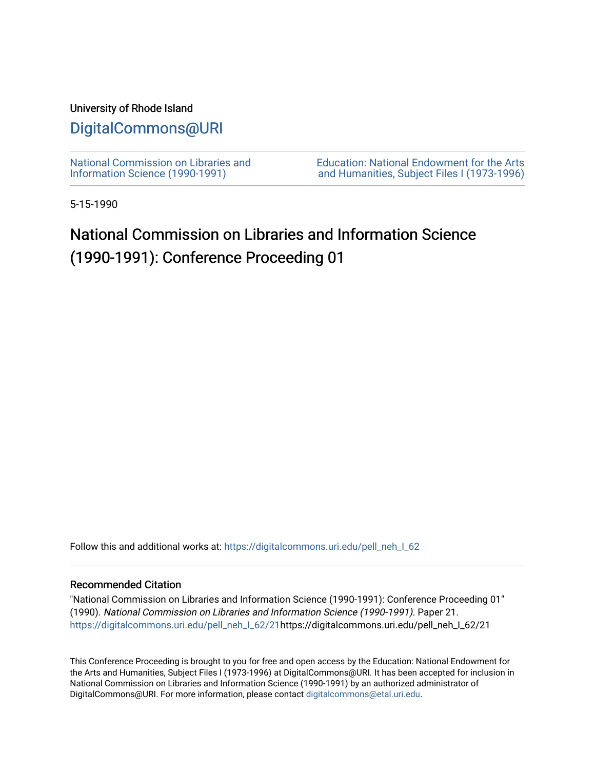#### University of Rhode Island

## [DigitalCommons@URI](https://digitalcommons.uri.edu/)

[National Commission on Libraries and](https://digitalcommons.uri.edu/pell_neh_I_62) [Information Science \(1990-1991\)](https://digitalcommons.uri.edu/pell_neh_I_62) 

[Education: National Endowment for the Arts](https://digitalcommons.uri.edu/pell_neh_I)  [and Humanities, Subject Files I \(1973-1996\)](https://digitalcommons.uri.edu/pell_neh_I) 

5-15-1990

# National Commission on Libraries and Information Science (1990-1991): Conference Proceeding 01

Follow this and additional works at: https://digitalcommons.uri.edu/pell\_neh\_I\_62

#### Recommended Citation

"National Commission on Libraries and Information Science (1990-1991): Conference Proceeding 01" (1990). National Commission on Libraries and Information Science (1990-1991). Paper 21. [https://digitalcommons.uri.edu/pell\\_neh\\_I\\_62/21h](https://digitalcommons.uri.edu/pell_neh_I_62/21?utm_source=digitalcommons.uri.edu%2Fpell_neh_I_62%2F21&utm_medium=PDF&utm_campaign=PDFCoverPages)ttps://digitalcommons.uri.edu/pell\_neh\_I\_62/21

This Conference Proceeding is brought to you for free and open access by the Education: National Endowment for the Arts and Humanities, Subject Files I (1973-1996) at DigitalCommons@URI. It has been accepted for inclusion in National Commission on Libraries and Information Science (1990-1991) by an authorized administrator of DigitalCommons@URI. For more information, please contact [digitalcommons@etal.uri.edu.](mailto:digitalcommons@etal.uri.edu)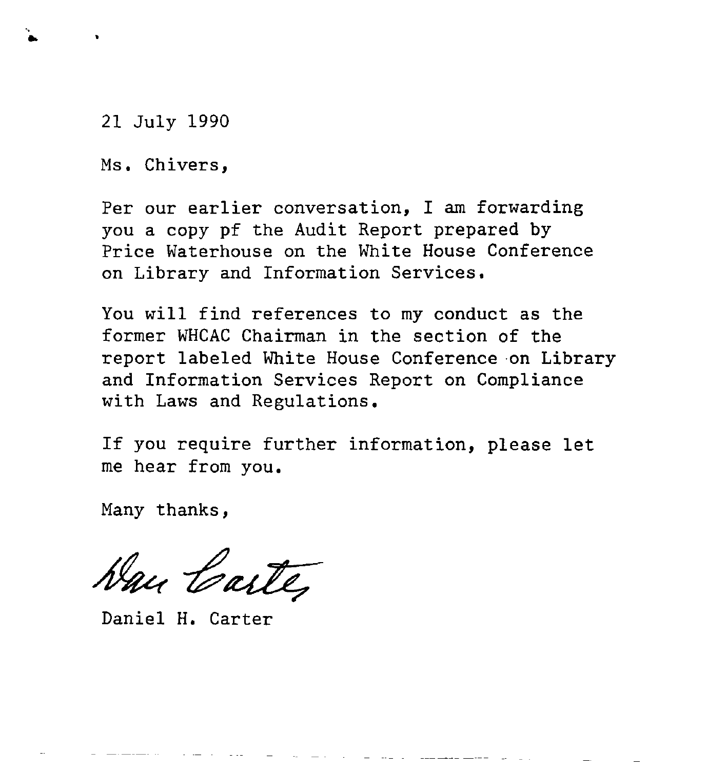21 July 1990

•

Ms. Chivers,

Per our earlier conversation, I am forwarding you a copy pf the Audit Report prepared by Price Waterhouse on the White House Conference on Library and Information Services.

You will find references to my conduct as the former WHCAC Chairman in the section of the report labeled White House Conference on Library and Information Services Report on Compliance with Laws and Regulations.

If you require further information, please let me hear from you.

Many thanks,

Han Carte

Daniel H. Carter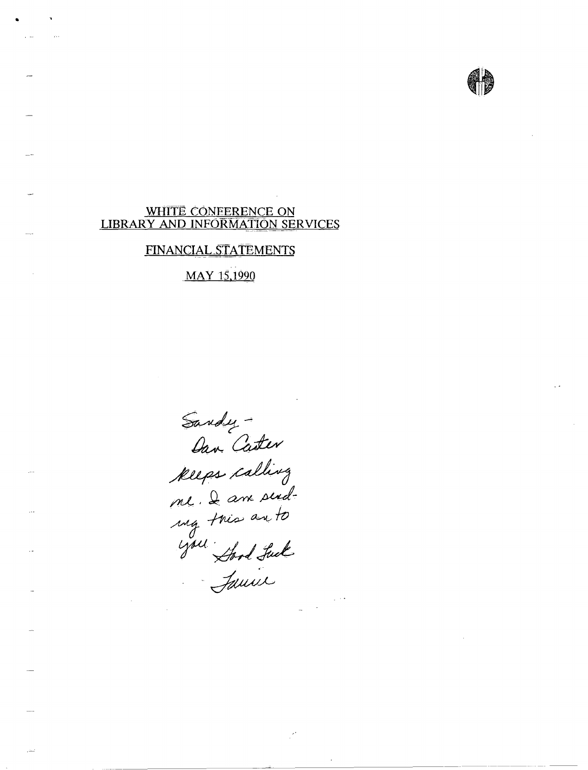#### WHITE CONEERENCE ON LIBRARY AND INFORMATION SERVICES

•

### FINANCIAL STATEMENTS

. MAY 15.1990

Sandy -<br>Oan Caster<br>Reeps calling<br>me. I am send-<br>mg. tris an to<br>you : Sand Suck<br>Sauil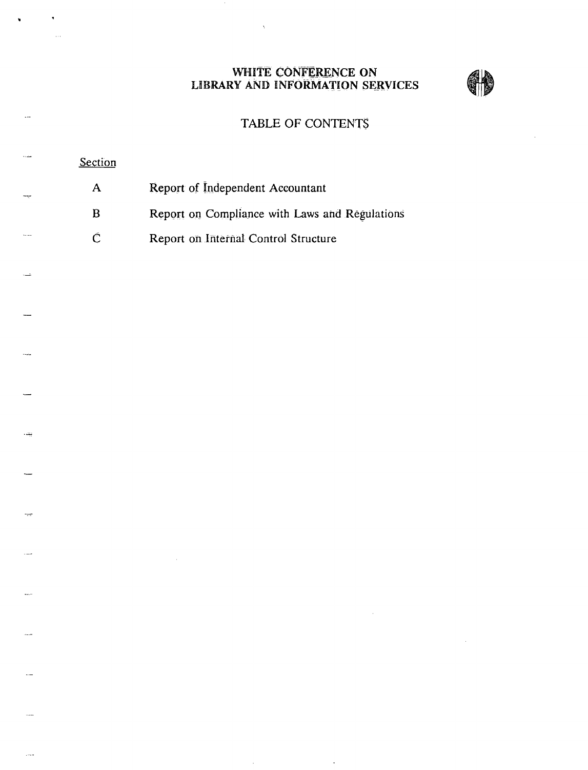WHITE CONFERENCE ON LIBRARY AND INFORMATION SERVICES



### TABLE OF CONTENT\$

### **Section**

چ

- A Report of Independent Accountant
- B Report on Compliance with Laws and Regulations
- C Report on Internal Control Structure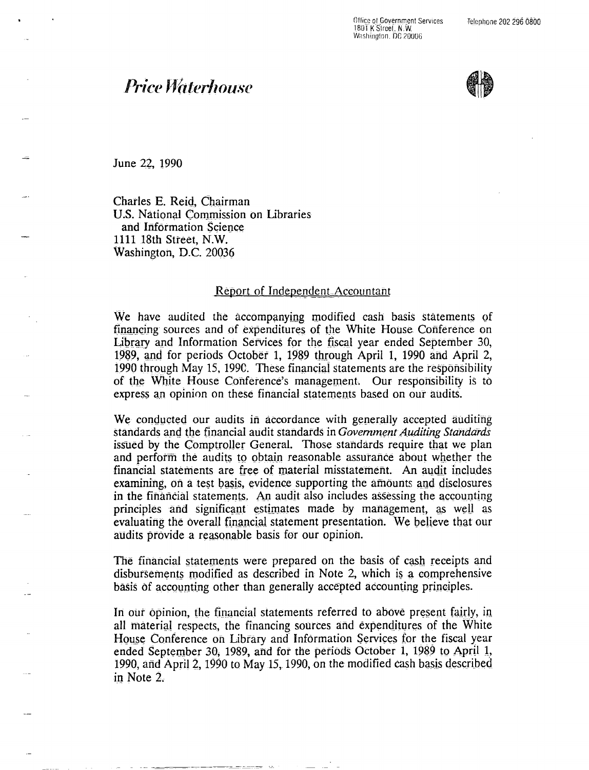Ollicc ol Government Services 1801 K Street. N.W. Washington. DC 20006

# **Price Waterhouse**



June 22, 1990

Charles E. Reid, Chairman U.S. National Commission on Libraries and Information Science. 1111 18th Street, N.W. Washington, D.C. 20036

#### Report of Independent Accountant

We have audited the accompanying modified cash basis statements of financing sources and of expenditures of the White House Conference on Library and Information Services for the fiscal year ended September 30, 1989, and for periods October 1, 1989 through April 1, 1990 and April 2, 1990 through May 15, 1990. These financial statements are the responsibility of the White House Conference's management. Our responsibility is to express an opinion on these financial statements based on our audits.

We conducted our audits in accordance with generally accepted auditing standards and the financial audit standards in *Government Auditing Standards* issued by the Comptroller General. Those standards require that we plan and perform the audits to obtain reasonable assurance about whether the financial statements are free of material misstatement. An audit includes examining, on a test basis, evidence supporting the amounts and disclosures in the financial statements. An audit also includes assessing the accounting principles and significant estimates made by management, as well as evaluating the overall financial statement presentation. We believe that our audits provide a reasonable basis for our opinion.

The financial statements were prepared on the basis of cash receipts and disbursements modified as described in Note 2, which is a comprehensive basis of accounting other than generally accepted accounting principles.

In our opinion, the financial statements referred to above present fairly, in all material respects, the financing sources and expenditures of the White House Conference on Library and Information Services for the fiscal year ended September 30, 1989, and for the periods October 1, 1989 to April 1, 1990, and April 2, 1990 to May 15, 1990, on the modified cash basis described in Note  $2$ .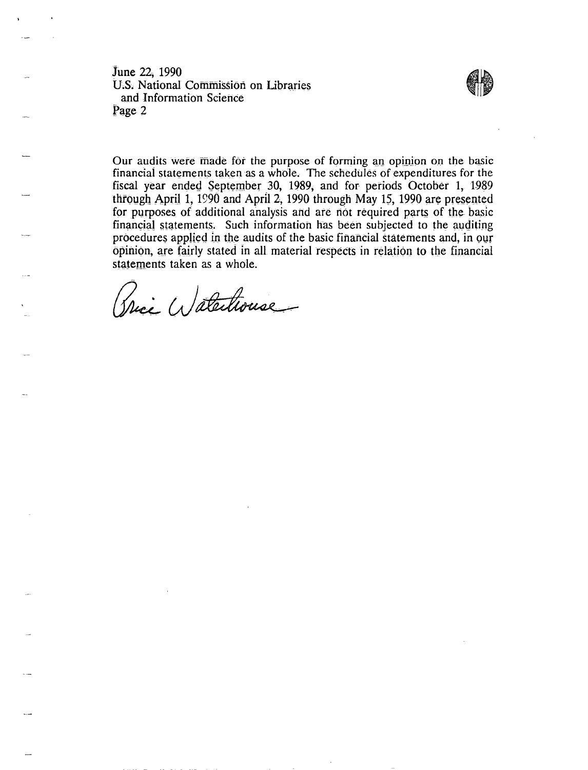June 22, 1990 U.S. National Commission on Libraries and Information Science<br>Page 2 June 22, 1990<br>U.S. National Commission on Libraries<br>and Information Science<br>Page 2



Our audits were made for the purpose of forming an opinion on the basic financial statements taken as a whole. The schedules of expenditures for the fiscal year ended September 30, 1989; and for periods October 1, 1989 through April 1, 1990 and April 2, 1990 through May 15, 1990 are presented for purposes of additional analysis and are not required parts of the basic financial statements. Such information has been subjected to the auditing procedures applied in the audits of the basic financial statements and, in our opinion, a\_re fairly stated In all material respects in relation to tbe financial statements taken as a whole.

(Trice Watertrouse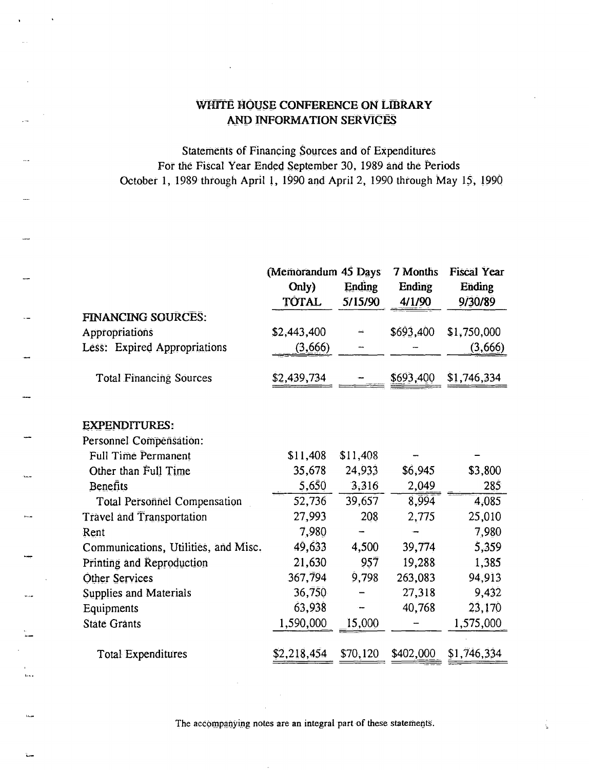### WHITE HOUSE CONFERENCE ON LIBRARY AND INFORMATION SERVICES

Statements of Financing Sources and of Expenditures For the Fiscal Year Ended September 30, 1989 and the Periods October 1, 1989 through April 1, 1990 and April 2, 1990 through May 15, 1990

|                                      | (Memorandum 45 Days |               | 7 Months      | <b>Fiscal Year</b> |
|--------------------------------------|---------------------|---------------|---------------|--------------------|
|                                      | Only)               | <b>Ending</b> | <b>Ending</b> | Ending             |
|                                      | TÒTAL               | 5/15/90       | 4/1/90        | 9/30/89            |
| <b>FINANCING SOURCES:</b>            |                     |               |               |                    |
| Appropriations                       | \$2,443,400         |               | \$693,400     | \$1,750,000        |
| Less: Expired Appropriations         | (3,666)             |               |               | (3,666)            |
| <b>Total Financing Sources</b>       | \$2,439,734         |               | \$693,400     | \$1,746,334        |
| <b>EXPENDITURES:</b>                 |                     |               |               |                    |
| Personnel Compénsation:              |                     |               |               |                    |
| Full Time Permanent                  | \$11,408            | \$11,408      |               |                    |
| Other than Full Time                 | 35,678              | 24,933        | \$6,945       | \$3,800            |
| Benefits                             | 5,650               | 3,316         | 2,049         | 285                |
| <b>Total Personnel Compensation</b>  | 52,736              | 39,657        | 8,994         | 4,085              |
| <b>Travel and Transportation</b>     | 27,993              | 208           | 2,775         | 25,010             |
| Rent                                 | 7,980               |               |               | 7,980              |
| Communications, Utilities, and Misc. | 49,633              | 4,500         | 39,774        | 5,359              |
| Printing and Reproduction            | 21,630              | 957           | 19,288        | 1,385              |
| Other Services                       | 367,794             | 9,798         | 263,083       | 94,913             |
| Supplies and Materials               | 36,750              |               | 27,318        | 9,432              |
| Equipments                           | 63,938              |               | 40,768        | 23,170             |
| <b>State Grants</b>                  | 1,590,000           | 15,000        |               | 1,575,000          |
| <b>Total Expenditures</b>            | \$2,218,454         | \$70,120      | \$402,000     | \$1,746,334        |

The accompanying notes are an integral part of these statements.

 $\bar{\mathbf{L}}_{\text{max}}$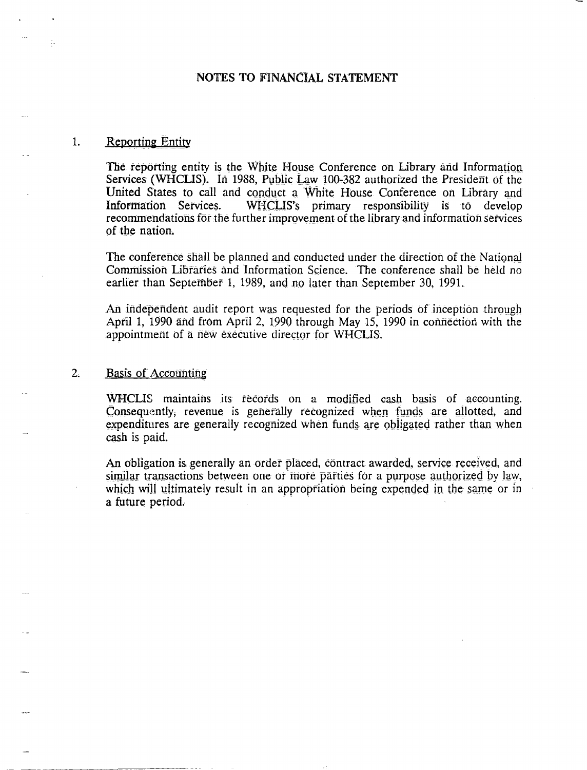#### NOTES TO FINANCIAL STATEMENT

#### 1. Reporting Entity

The reporting entity is the White House Conference on Library and Information Services (WHCLIS). In 1988, Public Law 100-382 authorized the President of the United States to call and conduct a White House Conference on Library and Information Services. WHCLlS's primary responsibility is to develop recommendations for the further improvement of the library and information services of the nation.

The conference shall be planned and conducted under the direction of the National Commission Libraries and Information Science. The conference shall be held no earlier than September 1, 1989, and no later than September 30, 1991.

An independent audit report was requested for the periods of inception through April 1, 1990 and from April 2, 1990 through May 15, 1990 in connection with the appointment of a new executive director for WHCLIS.

#### 2. Basis of Accounting

WHCLIS maintains its records on a modified cash basis of accounting. Consequently, revenue is generally recognized when funds are allotted, and expenditures are generally recognized when funds are obligated rather than when cash is paid.

An obligation is generally an order placed, contract awarded, service received, and similar transactions between one or more parties for a purpose authorized by law, which will ultimately result in an appropriation being expended in the same or in a future period.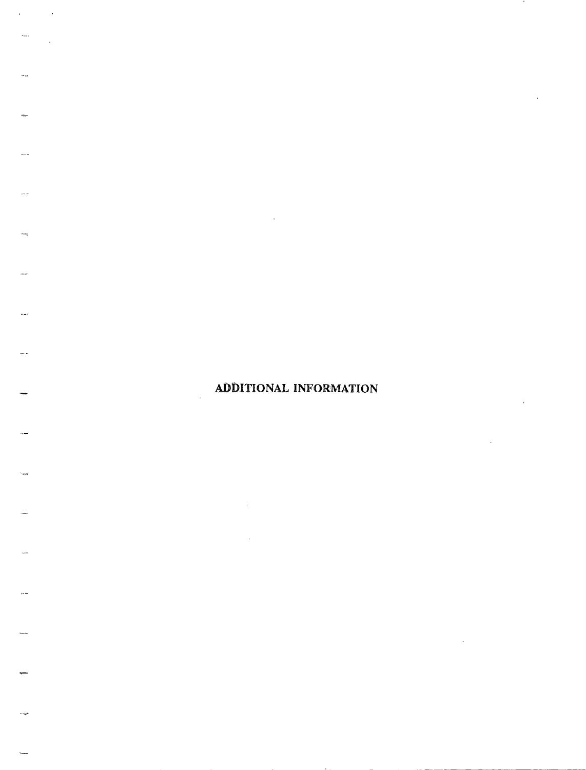### ADDITIONAL INFORMATION

 $\sim 0.5$ 

 $\sim 10$ 

 $\ddot{\phantom{a}}$ 

.<br>Tan

 $\cdot$ 

 $\ddot{\phantom{a}}$ 

 $\bar{\beta}$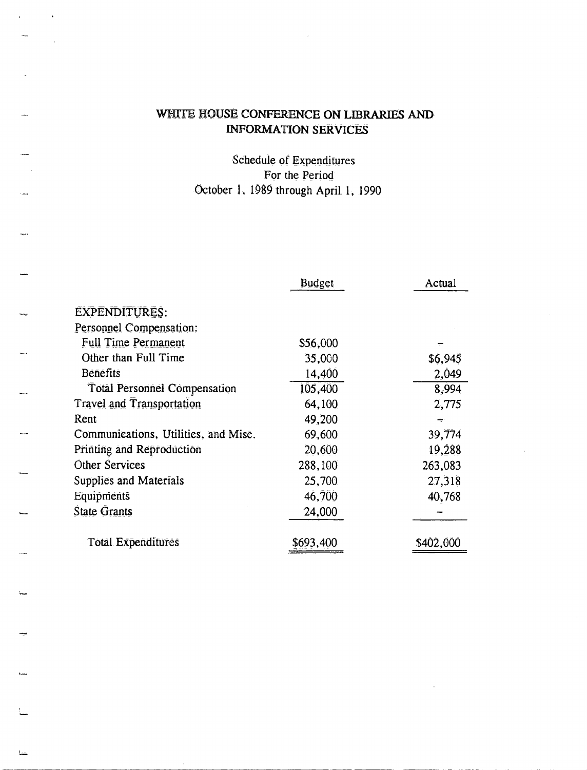## WHITE HOUSE CONFERENCE ON LIBRARIES AND **INFORMATION SERVICES**

 $\ddot{\phantom{a}}$ 

 $\lambda$ 

Schedule of Expenditures For the Period October 1, 1989 through April 1, 1990

|                                      | <b>Budget</b> | Actual  |
|--------------------------------------|---------------|---------|
| <b>EXPENDITURES:</b>                 |               |         |
| Personnel Compensation:              |               |         |
| <b>Full Time Permanent</b>           | \$56,000      |         |
| Other than Full Time                 | 35,000        | \$6,945 |
| <b>Benefits</b>                      | 14,400        | 2,049   |
| <b>Total Personnel Compensation</b>  | 105,400       | 8,994   |
| <b>Travel and Transportation</b>     | 64,100        | 2,775   |
| Rent                                 | 49,200        | چ       |
| Communications, Utilities, and Misc. | 69,600        | 39,774  |
| Printing and Reproduction            | 20,600        | 19,288  |
| Other Services                       | 288,100       | 263,083 |
| <b>Supplies and Materials</b>        | 25,700        | 27,318  |
| Equipments                           | 46,700        | 40,768  |
| <b>State Grants</b>                  | 24,000        |         |
| <b>Total Expenditures</b>            | \$693,400     | M2-00   |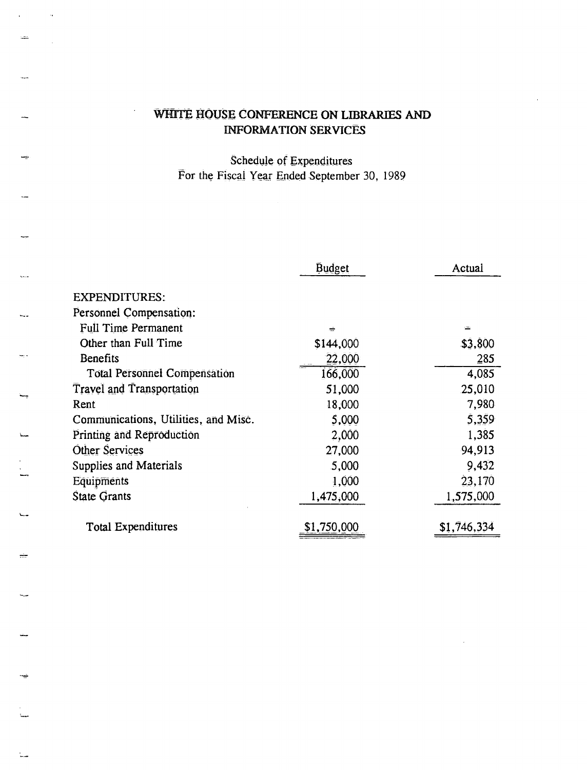### WHITE HOUSE CONFERENCE ON LIBRARIES AND **INFORMATION SERVICES**

 $\ddot{\phantom{a}}$ 

ų.

Schedule of Expenditures For the Fiscal Year Ended September 30, 1989

|                                      | <b>Budget</b> | Actual      |
|--------------------------------------|---------------|-------------|
| <b>EXPENDITURES:</b>                 |               |             |
| Personnel Compensation:              |               |             |
| <b>Full Time Permanent</b>           |               |             |
| Other than Full Time                 | \$144,000     | \$3,800     |
| <b>Benefits</b>                      | 22,000        | 285         |
| <b>Total Personnel Compensation</b>  | 166,000       | 4,085       |
| <b>Travel and Transportation</b>     | 51,000        | 25,010      |
| Rent                                 | 18,000        | 7,980       |
| Communications, Utilities, and Misc. | 5,000         | 5,359       |
| Printing and Reproduction            | 2,000         | 1,385       |
| <b>Other Services</b>                | 27,000        | 94,913      |
| Supplies and Materials               | 5,000         | 9,432       |
| Equipments                           | 1,000         | 23,170      |
| <b>State Grants</b>                  | 1,475,000     | 1,575,000   |
|                                      |               |             |
| <b>Total Expenditures</b>            | \$1,750,000   | \$1,746,334 |
|                                      |               |             |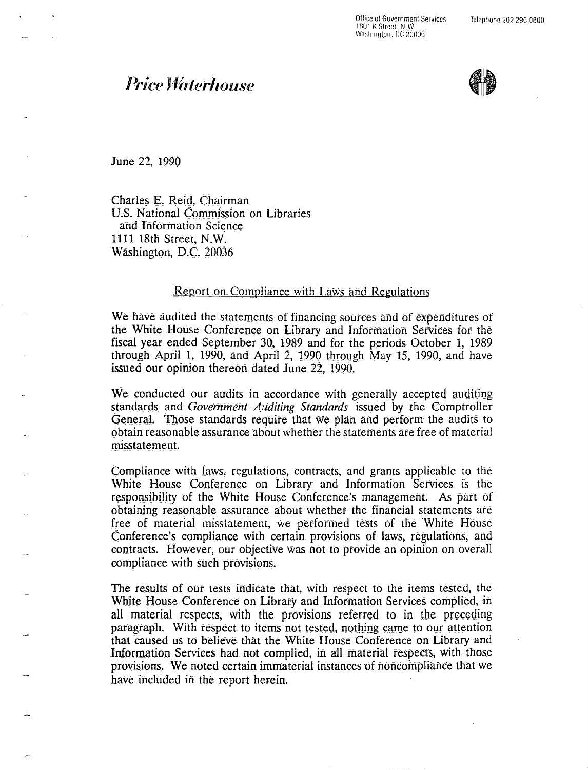Office of Government Services 1801 K:Street, N,W Washington, DC 20006

# **Price Waterhouse**



June 22, 1990

Charles E. Reid. Chairman U.S. National Commission on Libraries and Information Science 1111 18th Street, N.W. Washington, D.C. 20036

#### Report on Compliance with Laws and Regulations

We have audited the statements of financing sources and of expenditures of the White House Conference on Library and Information Services for the fiscal year ended September 30, 1989 and for the periods October 1, 1989 through April 1, 1990, and April 2,  $1990$  through May 15, 1990, and have issued our opinion thereon dated June 22, 1990.

We conducted our audits in accordance with generally accepted auditing standards and Government Auditing Standards issued by the Comptroller General. Those standards require that we plan and perform the audits to obtain reasonable assurance about whether the statements are free of material misstatement.

Compliance with laws, regulations, contracts, and grants applicable to the White House Conference on Library and Information Services is the responsibility of the White House Conference's management. As part of obtaining reasonable assurance about whether the financial statements are free of material misstatement, we performed tests of the White House Conference's compliance with certain provisions of laws, regulations, and contracts. However, our objective was not to provide an opinion on overall compliance with such provisions.

The results of our tests indicate that, with respect to the items tested, the White House Conference on Library and Information Services complied, in all material respects, with the provisions referred to in the preceding paragraph. With respect to items not tested, nothing came to our attention that caused us to believe that the White House Conference on Library and Information Services had not complied, in all material respects, with those provisions. We noted certain immaterial instances of noncompliance that we have included in the report herein.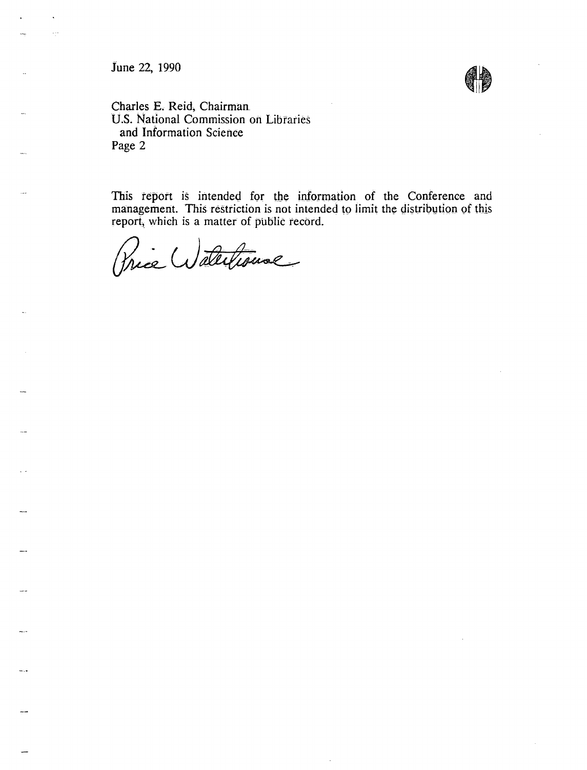June 22, 1990

....

 $\omega_{\rm{max}}$ 



Charles E. Reid, Chairman. U.S. National Commission on Libraries and Information Science Page 2

This report is intended for the information of the Conference and management. This restriction is not intended to limit the distribution of this report, which is a matter of public record.

Price Watertrouve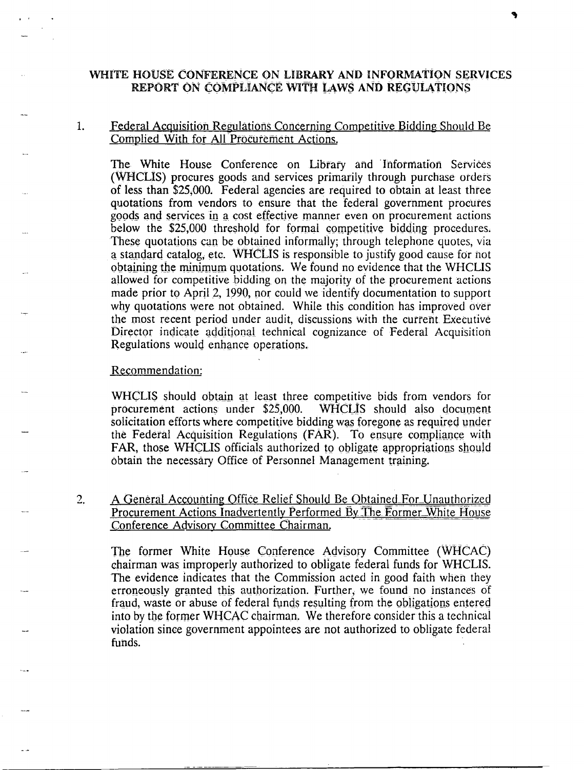#### WHITE HOUSE CONFERENCE ON LIBRARY AND INFORMATION SERVICES REPORT ON COMPLIANCE WITH LAWS AND REGULATIONS

#### Federal Acquisition Regulations Concerning Competitive Bidding Should Be  $\mathbf{1}$ . Complied With for All Procurement Actions.

The White House Conference on Library and Information Services (WHCLIS) procures goods and services primarily through purchase orders of less than \$25,000. Federal agencies are required to obtain at least three quotations from vendors to ensure that the federal government procures goods and services in a cost effective manner even on procurement actions below the \$25,000 threshold for formal competitive bidding procedures. These quotations can be obtained informally; through telephone quotes, via a standard catalog, etc. WHCLIS is responsible to justify good cause for not obtaining the minimum quotations. We found no evidence that the WHCLIS allowed for competitive bidding on the majority of the procurement actions made prior to April 2, 1990, nor could we identify documentation to support why quotations were not obtained. While this condition has improved over the most recent period under audit, discussions with the current Executive Director indicate additional technical cognizance of Federal Acquisition Regulations would enhance operations.

#### Recommendation:

WHCLIS should obtain at least three competitive bids from vendors for procurement actions under  $$25,000$ . WHCLIS should also document solicitation efforts where competitive bidding was foregone as required under the Federal Acquisition Regulations (FAR). To ensure compliance with FAR, those WHCLIS officials authorized to obligate appropriations should obtain the necessary Office of Personnel Management training.

 $2.$ A General Accounting Office Relief Should Be Obtained For Unauthorized Procurement Actions Inadvertently Performed By The Former White House Conference Advisory Committee Chairman.

The former White House Conference Advisory Committee (WHCAC) chairman was improperly authorized to obligate federal funds for WHCLIS. The evidence indicates that the Commission acted in good faith when they erroneously granted this authorization. Further, we found no instances of fraud, waste or abuse of federal funds resulting from the obligations entered into by the former WHCAC chairman. We therefore consider this a technical violation since government appointees are not authorized to obligate federal funds.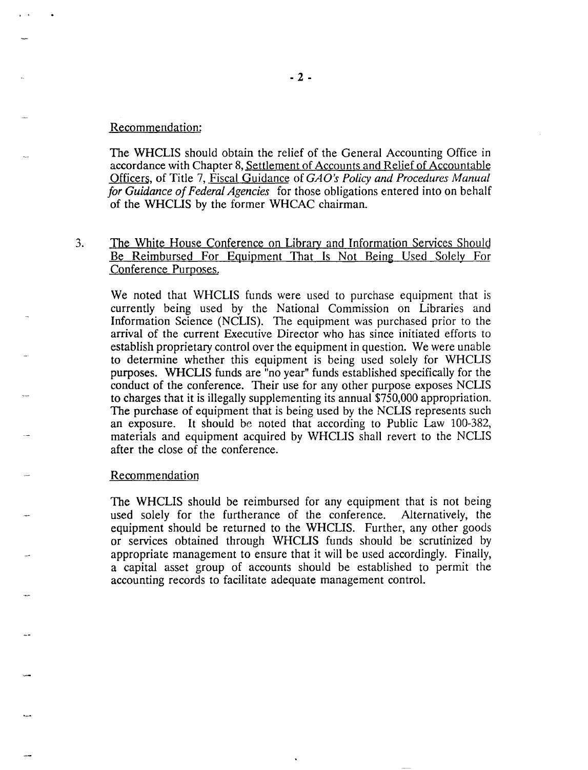#### Recommendation:

The WHCLIS should obtain the relief of the General Accounting Office in accordance with Chapter 8, Settlement of Accounts and Relief of Accountable Officers, of Title 7, Fiscal Guidance of *GA O's Policy and Procedures Manual for Guidance of Federal Agencies* for those obligations entered into on behalf of the WHCLIS by the former WHCAC chairman.

3. The White House Conference on Library and Information Services Should Be Reimbursed For Equipment That Is Not Being Used Solely For Conference Purposes.

We noted that WHCLIS funds were used to purchase equipment that is currently being used by the National Commission on Libraries and Information Science (NCLIS). The equipment was purchased prior to the arrival of the current Executive Director who has since initiated efforts to establish proprietary control over the equipment in question. We were unable to determine whether this equipment is being used solely for WHCLIS purposes. WHCLIS funds are "no year" funds established specifically for the conduct of the conference. Their use for any other purpose exposes NCLIS to charges that it is illegally supplementing its annual \$750,000 appropriation. The purchase of equipment that is being used by the NCLIS represents such an exposure. It should be noted that according to Public Law 100-382, materials and equipment acquired by WHCLIS shall revert to the NCLIS after the close of the conference.

#### Recommendation

The WHCLIS should be reimbursed for any equipment that is not being used solely for the furtherance of the conference. Alternatively, the equipment should be returned to the WHCLIS. Further, any other goods or services obtained through WHCLIS funds should be scrutinized by appropriate management to ensure that it will be used accordingly. Finally, a capital asset group of accounts should be established to permit the accounting records to facilitate adequate management control.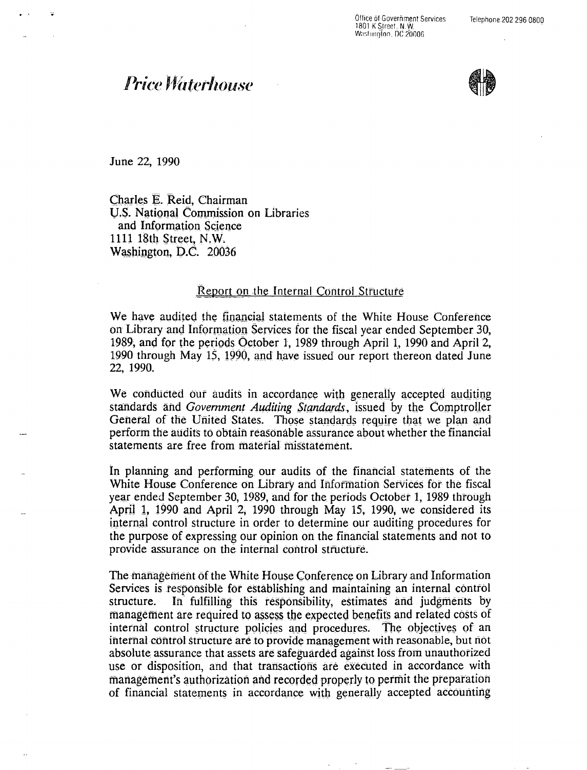Office of Government Services 1801 K Street, N.W. Washington, DC 20006

# **Price Waterhouse**



June 22, 1990

Charles E. Reid, Chairman U.S. National Commission on Libraries and Information Science 1111 18th Street, N.W. Washington, D.C. 20036

#### Report on the Internal Control Structure

We have audited the financial statements of the White House Conference on Library and Information Services for the fiscal year ended September 30, 1989, and for the periods October 1, 1989 through April 1, 1990 and April 2, 1990 through May 15, 1990, and have issued our report thereon dated June 22, 1990.

We conducted our audits in accordance with generally accepted auditing standards and Government Auditing Standards, issued by the Comptroller General of the United States. Those standards require that we plan and perform the audits to obtain reasonable assurance about whether the financial statements are free from material misstatement.

In planning and performing our audits of the financial statements of the White House Conference on Library and Information Services for the fiscal year ended September 30, 1989, and for the periods October 1, 1989 through April 1, 1990 and April 2, 1990 through May 15, 1990, we considered its internal control structure in order to determine our auditing procedures for the purpose of expressing our opinion on the financial statements and not to provide assurance on the internal control structure.

The management of the White House Conference on Library and Information Services is responsible for establishing and maintaining an internal control structure. In fulfilling this responsibility, estimates and judgments by management are required to assess the expected benefits and related costs of internal control structure policies and procedures. The objectives of an internal control structure are to provide management with reasonable, but not absolute assurance that assets are safeguarded against loss from unauthorized use or disposition, and that transactions are executed in accordance with management's authorization and recorded properly to permit the preparation of financial statements in accordance with generally accepted accounting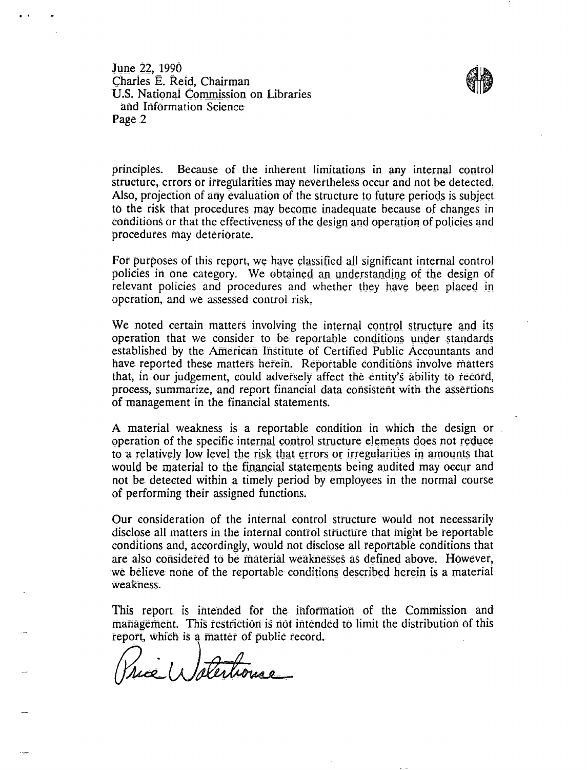June 22, 1990 Charles E. Reid. Chairman U.S. National Commission on Libraries and Information Science Page 2



principles. Because of the inherent limitations in any internal control structure, errors or irregularities may nevertheless occur and not be detected. Also, projection of any evaluation of the structure to future periods is subject. to the risk that procedures may become inadequate because of changes in conditions or that the effectiveness of the design and operation of policies and procedures may deteriorate.

For purposes of this report, we have classified all significant internal control policies in one category. We obtained an understanding of the design of relevant policies and procedures and whether they have been placed in operation, and we assessed control risk.

We noted certain matters involving the internal control structure and its operation that we consider to be reportable conditions under standards established by the American Institute of Certified Public Accountants and have reported these matters herein. Reportable conditions involve matters that, in our judgement, could adversely affect the entity's ability to record, process, summarize, and report financial data consistent with the assertions of management in the financial statements.

A material weakness is a reportable condition in which the design or operation of the specific internal control structure elements does not reduce to a relatively low level the risk that errors or irregularities in amounts that would be material to the financial statements being audited may occur and not be detected within a timely period by employees in the normal course of performing their assigned functions.

Our consideration of the internal control structure would not necessarily disclose all matters in the internal control structure that might be reportable conditions and, accordingly, would not disclose all reportable conditions that are also considered to be material weaknesses as defined above. However, we believe none of the reportable conditions described herein is a material weakness.

This report is intended for the information of the Commission and management. This restriction is not intended to limit the distribution of this report, which is a matter of public record.

Price Waterhouse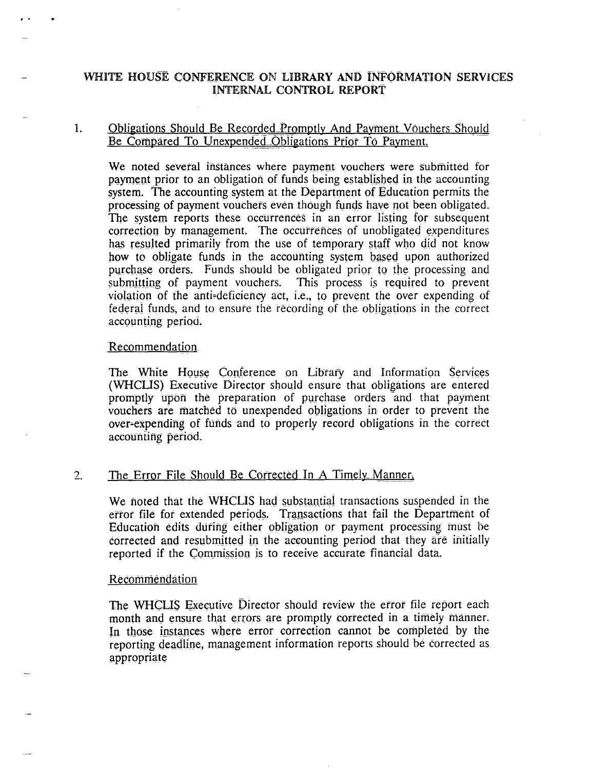### WHITE HOUSE CONFERENCE ON LIBRARY AND INFORMATION SERVICES INTERNAL CONTROL REPORT

### 1. Obligations Should Be Recorded Promptly And Payment Vouchers Should Be Compared To Unexpended Obligations Prior To Payment.

We noted several instances where payment vouchers were submitted for payment prior to an obligation of funds being established in the accounting system. The accounting system at the Department of Education permits the processing of payment vouchers even though funds have not been obligated. The system reports these occurrences in an error listing for subsequent correction by management. The occurrences of unobligated expenditures has resulted primarily from the use of temporary staff who did not know how to obligate funds in the accounting system based upon authorized purchase orders. Funds should be obligated prior to the processing and submitting of payment vouchers. This process is required to prevent violation of the anti-deficiency act, i.e., to prevent the over expending of federal funds, and to ensure the recording of the obligations in the correct accounting period.

#### Recommendation

The White House Conference on Library and Information Services (WHCLIS) Executive Director should ensure that obligations are entered promptly upon the preparation of purchase orders and that payment vouchers are matched to unexpended obligations in order to prevent the over-expending of funds and to properly record obligations in the correct accounting pefiod.

#### 2. The Error File Should Be Corrected Jn A Timely\_Manner.

We noted that the WHCLIS had substantial transactions suspended in the error file for extended periods. Transactions that fail the Department of Education edits during either obligation or payment processing *must* be corrected and resubmitted in the accounting period that they are initially reported if the Commission is to receive accurate financial data.

#### **Recommendation**

The WHCLIS Executive Director should review the error file report each month and ensure that errors are promptly corrected in a timely manner. In those instances where error correction cannot be completed by the reporting deadline, management information reports should be corrected as appropriate